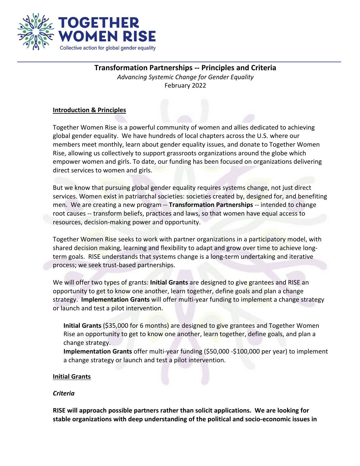

# **Transformation Partnerships -- Principles and Criteria**

*Advancing Systemic Change for Gender Equality* February 2022

## **Introduction & Principles**

Together Women Rise is a powerful community of women and allies dedicated to achieving global gender equality. We have hundreds of local chapters across the U.S. where our members meet monthly, learn about gender equality issues, and donate to Together Women Rise, allowing us collectively to support grassroots organizations around the globe which empower women and girls. To date, our funding has been focused on organizations delivering direct services to women and girls.

But we know that pursuing global gender equality requires systems change, not just direct services. Women exist in patriarchal societies: societies created by, designed for, and benefiting men. We are creating a new program -- **Transformation Partnerships** -- intended to change root causes -- transform beliefs, practices and laws, so that women have equal access to resources, decision-making power and opportunity.

Together Women Rise seeks to work with partner organizations in a participatory model, with shared decision making, learning and flexibility to adapt and grow over time to achieve longterm goals. RISE understands that systems change is a long-term undertaking and iterative process; we seek trust-based partnerships.

We will offer two types of grants: **Initial Grants** are designed to give grantees and RISE an opportunity to get to know one another, learn together, define goals and plan a change strategy. **Implementation Grants** will offer multi-year funding to implement a change strategy or launch and test a pilot intervention.

**Initial Grants** (\$35,000 for 6 months) are designed to give grantees and Together Women Rise an opportunity to get to know one another, learn together, define goals, and plan a change strategy.

**Implementation Grants** offer multi-year funding (\$50,000 -\$100,000 per year) to implement a change strategy or launch and test a pilot intervention.

## **Initial Grants**

## *Criteria*

**RISE will approach possible partners rather than solicit applications. We are looking for stable organizations with deep understanding of the political and socio-economic issues in**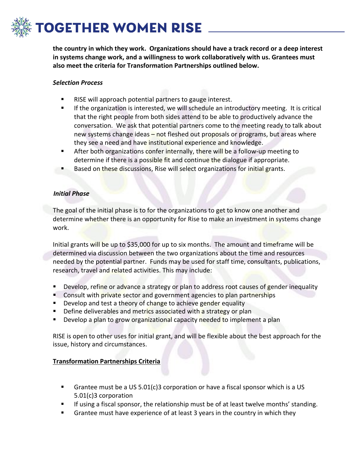# **OGETHER WOMEN RISE**

**the country in which they work. Organizations should have a track record or a deep interest in systems change work, and a willingness to work collaboratively with us. Grantees must also meet the criteria for Transformation Partnerships outlined below.**

### *Selection Process*

- RISE will approach potential partners to gauge interest.
- If the organization is interested, we will schedule an introductory meeting. It is critical that the right people from both sides attend to be able to productively advance the conversation. We ask that potential partners come to the meeting ready to talk about new systems change ideas – not fleshed out proposals or programs, but areas where they see a need and have institutional experience and knowledge.
- After both organizations confer internally, there will be a follow-up meeting to determine if there is a possible fit and continue the dialogue if appropriate.
- Based on these discussions, Rise will select organizations for initial grants.

### *Initial Phase*

The goal of the initial phase is to for the organizations to get to know one another and determine whether there is an opportunity for Rise to make an investment in systems change work.

Initial grants will be up to \$35,000 for up to six months. The amount and timeframe will be determined via discussion between the two organizations about the time and resources needed by the potential partner. Funds may be used for staff time, consultants, publications, research, travel and related activities. This may include:

- Develop, refine or advance a strategy or plan to address root causes of gender inequality
- Consult with private sector and government agencies to plan partnerships
- Develop and test a theory of change to achieve gender equality
- **Define deliverables and metrics associated with a strategy or plan**
- Develop a plan to grow organizational capacity needed to implement a plan

RISE is open to other uses for initial grant, and will be flexible about the best approach for the issue, history and circumstances.

### **Transformation Partnerships Criteria**

- Grantee must be a US 5.01(c)3 corporation or have a fiscal sponsor which is a US 5.01(c)3 corporation
- If using a fiscal sponsor, the relationship must be of at least twelve months' standing.
- Grantee must have experience of at least 3 years in the country in which they